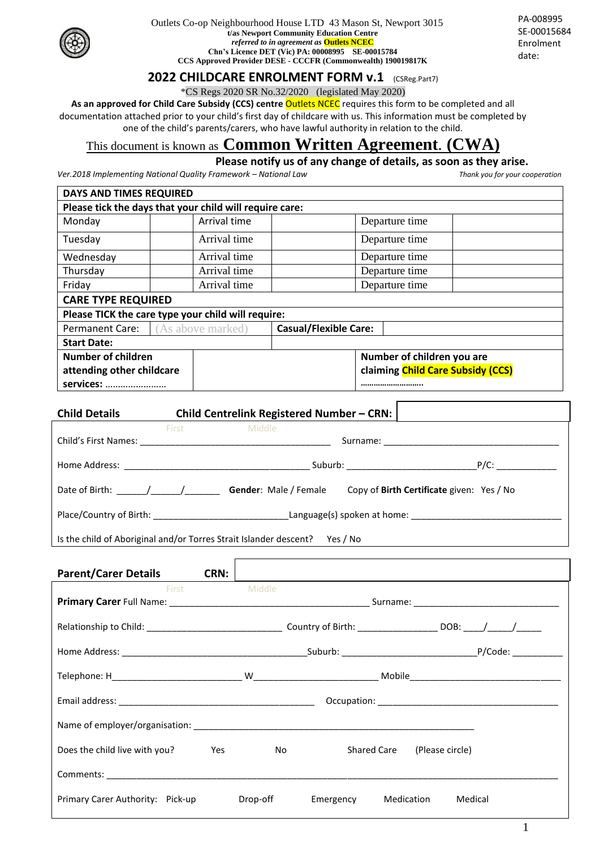

Outlets Co-op Neighbourhood House LTD 43 Mason St, Newport 3015 **t/as Newport Community Education Centre** *referred to in agreement as* **Outlets NCEC Chn's Licence DET (Vic) PA: 00008995 SE-00015784 CCS Approved Provider DESE - CCCFR (Commonwealth) 190019817K**

PA-008995 SE-00015684 Enrolment date:

## **2022 CHILDCARE ENROLMENT FORM v.1** (CSReg.Part7)

\*CS Regs 2020 SR No.32/2020 (legislated May 2020)

As an approved for Child Care Subsidy (CCS) centre Outlets NCEC requires this form to be completed and all documentation attached prior to your child's first day of childcare with us. This information must be completed by one of the child's parents/carers, who have lawful authority in relation to the child.

## This document is known as **Common Written Agreement**. **(CWA)**

## **Please notify us of any change of details, as soon as they arise.**

*Ver.2018 Implementing National Quality Framework – National Law Thank you for your cooperation*

| <b>DAYS AND TIMES REQUIRED</b>                          |                                                    |                              |                                   |  |  |  |  |
|---------------------------------------------------------|----------------------------------------------------|------------------------------|-----------------------------------|--|--|--|--|
| Please tick the days that your child will require care: |                                                    |                              |                                   |  |  |  |  |
| Monday                                                  | Arrival time                                       |                              | Departure time                    |  |  |  |  |
| Tuesday                                                 | Arrival time                                       | Departure time               |                                   |  |  |  |  |
| Wednesday                                               | Arrival time                                       |                              | Departure time                    |  |  |  |  |
| Thursday                                                | Arrival time                                       |                              | Departure time                    |  |  |  |  |
| Friday                                                  | Arrival time                                       |                              | Departure time                    |  |  |  |  |
| <b>CARE TYPE REQUIRED</b>                               |                                                    |                              |                                   |  |  |  |  |
|                                                         | Please TICK the care type your child will require: |                              |                                   |  |  |  |  |
| <b>Permanent Care:</b><br>(As above marked)             |                                                    | <b>Casual/Flexible Care:</b> |                                   |  |  |  |  |
| <b>Start Date:</b>                                      |                                                    |                              |                                   |  |  |  |  |
| Number of children                                      |                                                    |                              | Number of children you are        |  |  |  |  |
| attending other childcare                               |                                                    |                              | claiming Child Care Subsidy (CCS) |  |  |  |  |
| services:                                               |                                                    |                              |                                   |  |  |  |  |

| <b>Child Details</b>                                                       |                                                                                                                                                                                                                                     | Child Centrelink Registered Number - CRN:         |  |                                                  |  |
|----------------------------------------------------------------------------|-------------------------------------------------------------------------------------------------------------------------------------------------------------------------------------------------------------------------------------|---------------------------------------------------|--|--------------------------------------------------|--|
|                                                                            | <b>First</b> Participate of the Second Second Second Second Second Second Second Second Second Second Second Second Second Second Second Second Second Second Second Second Second Second Second Second Second Second Second Second | Middle                                            |  |                                                  |  |
|                                                                            |                                                                                                                                                                                                                                     |                                                   |  |                                                  |  |
|                                                                            |                                                                                                                                                                                                                                     |                                                   |  |                                                  |  |
|                                                                            |                                                                                                                                                                                                                                     | Date of Birth: $\sqrt{2}$ / Gender: Male / Female |  | Copy of <b>Birth Certificate</b> given: Yes / No |  |
|                                                                            |                                                                                                                                                                                                                                     |                                                   |  |                                                  |  |
| Is the child of Aboriginal and/or Torres Strait Islander descent? Yes / No |                                                                                                                                                                                                                                     |                                                   |  |                                                  |  |

| <b>Parent/Carer Details</b>                                                                                                                                                                                                         | CRN: |          |                                                                                                                                                                                                                                                               |                       |
|-------------------------------------------------------------------------------------------------------------------------------------------------------------------------------------------------------------------------------------|------|----------|---------------------------------------------------------------------------------------------------------------------------------------------------------------------------------------------------------------------------------------------------------------|-----------------------|
| First Middle                                                                                                                                                                                                                        |      |          |                                                                                                                                                                                                                                                               |                       |
|                                                                                                                                                                                                                                     |      |          |                                                                                                                                                                                                                                                               |                       |
|                                                                                                                                                                                                                                     |      |          |                                                                                                                                                                                                                                                               |                       |
|                                                                                                                                                                                                                                     |      |          |                                                                                                                                                                                                                                                               |                       |
|                                                                                                                                                                                                                                     |      |          |                                                                                                                                                                                                                                                               |                       |
|                                                                                                                                                                                                                                     |      |          |                                                                                                                                                                                                                                                               |                       |
|                                                                                                                                                                                                                                     |      |          |                                                                                                                                                                                                                                                               |                       |
| Does the child live with you? The Mes                                                                                                                                                                                               |      |          | Shared Care (Please circle)<br>No and the second second second second second second second second second second second second second second second second second second second second second second second second second second second second second second s |                       |
| <b>Comments:</b> the comments of the community of the community of the community of the community of the community of the community of the community of the community of the community of the community of the community of the com |      |          |                                                                                                                                                                                                                                                               |                       |
| Primary Carer Authority: Pick-up                                                                                                                                                                                                    |      | Drop-off | Emergency                                                                                                                                                                                                                                                     | Medication<br>Medical |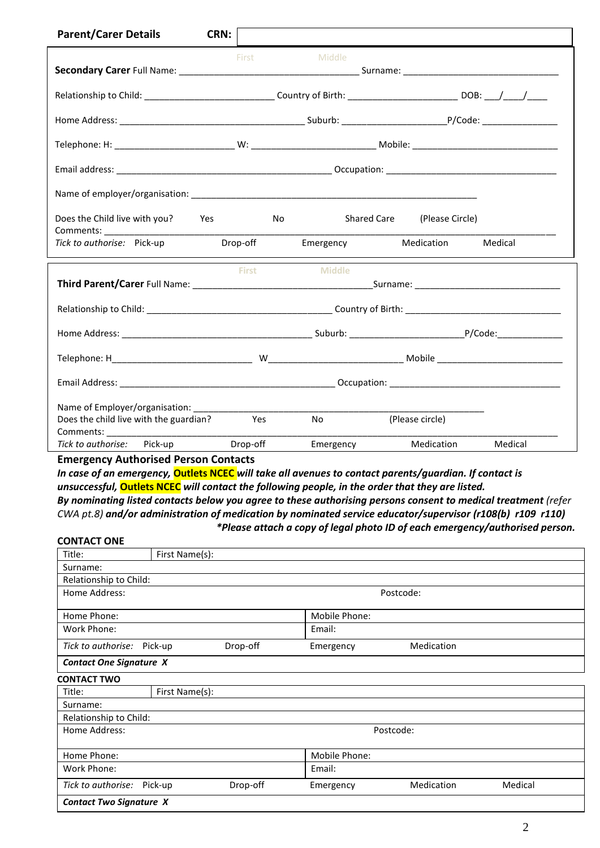| <b>Parent/Carer Details</b>                                                                                                  | CRN:                            |               |                             |         |  |
|------------------------------------------------------------------------------------------------------------------------------|---------------------------------|---------------|-----------------------------|---------|--|
|                                                                                                                              | First                           | Middle        |                             |         |  |
| Relationship to Child: ________________________________Country of Birth: _______________________________DOB: ___/____/______ |                                 |               |                             |         |  |
|                                                                                                                              |                                 |               |                             |         |  |
|                                                                                                                              |                                 |               |                             |         |  |
|                                                                                                                              |                                 |               |                             |         |  |
|                                                                                                                              |                                 |               |                             |         |  |
| Does the Child live with you? Yes                                                                                            | <b>Solution Street Property</b> |               | Shared Care (Please Circle) |         |  |
| Tick to authorise: Pick-up                                                                                                   | Drop-off                        | Emergency     | Medication                  | Medical |  |
|                                                                                                                              | <b>First</b>                    | <b>Middle</b> |                             |         |  |
|                                                                                                                              |                                 |               |                             |         |  |
|                                                                                                                              |                                 |               |                             |         |  |
|                                                                                                                              |                                 |               |                             |         |  |
|                                                                                                                              |                                 |               |                             |         |  |
| Name of Employer/organisation: _________<br>Does the child live with the guardian? Yes                                       |                                 | No.           | (Please circle)             |         |  |
| Pick-up<br>Tick to authorise:                                                                                                | Drop-off                        | Emergency     | Medication                  | Medical |  |

**Emergency Authorised Person Contacts**

*In case of an emergency,* **Outlets NCEC** *will take all avenues to contact parents/guardian. If contact is unsuccessful,* **Outlets NCEC** *will contact the following people, in the order that they are listed.*

*By nominating listed contacts below you agree to these authorising persons consent to medical treatment (refer CWA pt.8) and/or administration of medication by nominated service educator/supervisor (r108(b) r109 r110) \*Please attach a copy of legal photo ID of each emergency/authorised person.* 

#### **CONTACT ONE**

| Title:                         | First Name(s):                                 |          |               |            |         |  |
|--------------------------------|------------------------------------------------|----------|---------------|------------|---------|--|
| Surname:                       |                                                |          |               |            |         |  |
| Relationship to Child:         |                                                |          |               |            |         |  |
| Home Address:                  | Postcode:                                      |          |               |            |         |  |
| Home Phone:                    |                                                |          | Mobile Phone: |            |         |  |
| Work Phone:                    | Email:                                         |          |               |            |         |  |
| Tick to authorise:             | Drop-off<br>Pick-up<br>Medication<br>Emergency |          |               |            |         |  |
|                                | <b>Contact One Signature X</b>                 |          |               |            |         |  |
| <b>CONTACT TWO</b>             |                                                |          |               |            |         |  |
| Title:                         | First Name(s):                                 |          |               |            |         |  |
| Surname:                       |                                                |          |               |            |         |  |
| Relationship to Child:         |                                                |          |               |            |         |  |
| Home Address:                  | Postcode:                                      |          |               |            |         |  |
| Home Phone:                    | Mobile Phone:                                  |          |               |            |         |  |
| Work Phone:                    |                                                |          | Email:        |            |         |  |
| Tick to authorise:             | Pick-up                                        | Drop-off | Emergency     | Medication | Medical |  |
| <b>Contact Two Signature X</b> |                                                |          |               |            |         |  |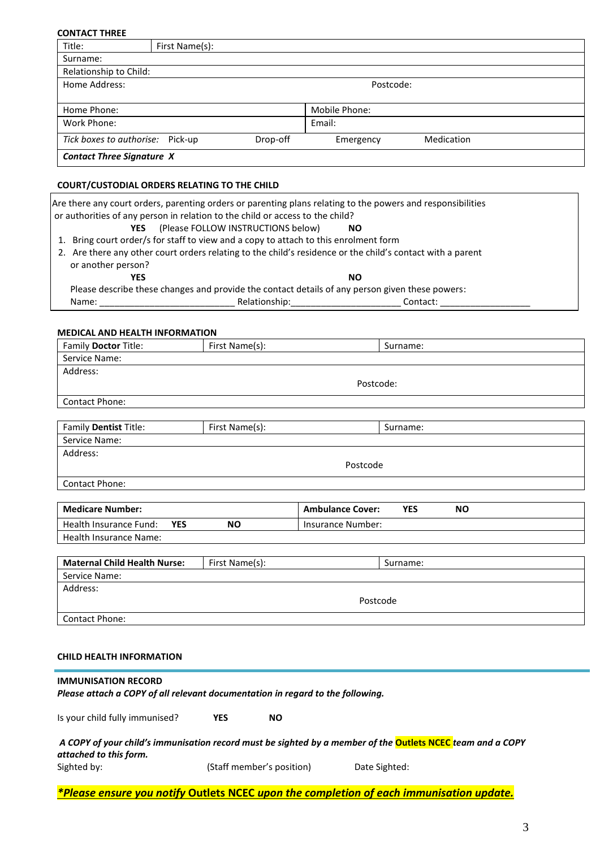| <b>CONTACT THREE</b>             |                |          |               |            |  |
|----------------------------------|----------------|----------|---------------|------------|--|
| Title:                           | First Name(s): |          |               |            |  |
| Surname:                         |                |          |               |            |  |
| Relationship to Child:           |                |          |               |            |  |
| Home Address:                    |                |          | Postcode:     |            |  |
|                                  |                |          |               |            |  |
| Home Phone:                      |                |          | Mobile Phone: |            |  |
| Work Phone:                      |                |          | Email:        |            |  |
| Tick boxes to authorise: Pick-up |                | Drop-off | Emergency     | Medication |  |
| <b>Contact Three Signature X</b> |                |          |               |            |  |

## **COURT/CUSTODIAL ORDERS RELATING TO THE CHILD**

|                                                                                                 | Are there any court orders, parenting orders or parenting plans relating to the powers and responsibilities |          |  |  |  |  |
|-------------------------------------------------------------------------------------------------|-------------------------------------------------------------------------------------------------------------|----------|--|--|--|--|
| or authorities of any person in relation to the child or access to the child?                   |                                                                                                             |          |  |  |  |  |
| (Please FOLLOW INSTRUCTIONS below)<br>YES.<br>NO.                                               |                                                                                                             |          |  |  |  |  |
|                                                                                                 | 1. Bring court order/s for staff to view and a copy to attach to this enrolment form                        |          |  |  |  |  |
|                                                                                                 | 2. Are there any other court orders relating to the child's residence or the child's contact with a parent  |          |  |  |  |  |
| or another person?                                                                              |                                                                                                             |          |  |  |  |  |
| YES                                                                                             |                                                                                                             | NO.      |  |  |  |  |
| Please describe these changes and provide the contact details of any person given these powers: |                                                                                                             |          |  |  |  |  |
| Name:                                                                                           | Relationship:                                                                                               | Contact: |  |  |  |  |
|                                                                                                 |                                                                                                             |          |  |  |  |  |

#### **MEDICAL AND HEALTH INFORMATION**

| Family Doctor Title:                                                           | First Name(s): |                   | Surname:                                           |  |  |
|--------------------------------------------------------------------------------|----------------|-------------------|----------------------------------------------------|--|--|
| Service Name:                                                                  |                |                   |                                                    |  |  |
| Address:                                                                       |                |                   |                                                    |  |  |
|                                                                                |                | Postcode:         |                                                    |  |  |
| Contact Phone:                                                                 |                |                   |                                                    |  |  |
|                                                                                |                |                   |                                                    |  |  |
| Family Dentist Title:                                                          | First Name(s): |                   | Surname:                                           |  |  |
| Service Name:                                                                  |                |                   |                                                    |  |  |
| Address:                                                                       |                |                   |                                                    |  |  |
|                                                                                |                | Postcode          |                                                    |  |  |
| Contact Phone:                                                                 |                |                   |                                                    |  |  |
|                                                                                |                |                   |                                                    |  |  |
| <b>Medicare Number:</b>                                                        |                |                   | <b>Ambulance Cover:</b><br><b>YES</b><br><b>NO</b> |  |  |
| <b>Health Insurance Fund:</b><br><b>YES</b>                                    | <b>NO</b>      | Insurance Number: |                                                    |  |  |
| <b>Health Insurance Name:</b>                                                  |                |                   |                                                    |  |  |
|                                                                                |                |                   |                                                    |  |  |
| <b>Maternal Child Health Nurse:</b>                                            | First Name(s): |                   | Surname:                                           |  |  |
| Service Name:                                                                  |                |                   |                                                    |  |  |
| Address:                                                                       |                |                   |                                                    |  |  |
|                                                                                |                | Postcode          |                                                    |  |  |
| <b>Contact Phone:</b>                                                          |                |                   |                                                    |  |  |
|                                                                                |                |                   |                                                    |  |  |
|                                                                                |                |                   |                                                    |  |  |
| <b>CHILD HEALTH INFORMATION</b>                                                |                |                   |                                                    |  |  |
|                                                                                |                |                   |                                                    |  |  |
|                                                                                |                |                   |                                                    |  |  |
| <b>IMMUNISATION RECORD</b>                                                     |                |                   |                                                    |  |  |
| Please attach a COPY of all relevant documentation in regard to the following. |                |                   |                                                    |  |  |

*A COPY of your child's immunisation record must be sighted by a member of the* **Outlets NCEC** *team and a COPY attached to this form.*  (Staff member's position) Date Sighted:

*\*Please ensure you notify* **Outlets NCEC** *upon the completion of each immunisation update.*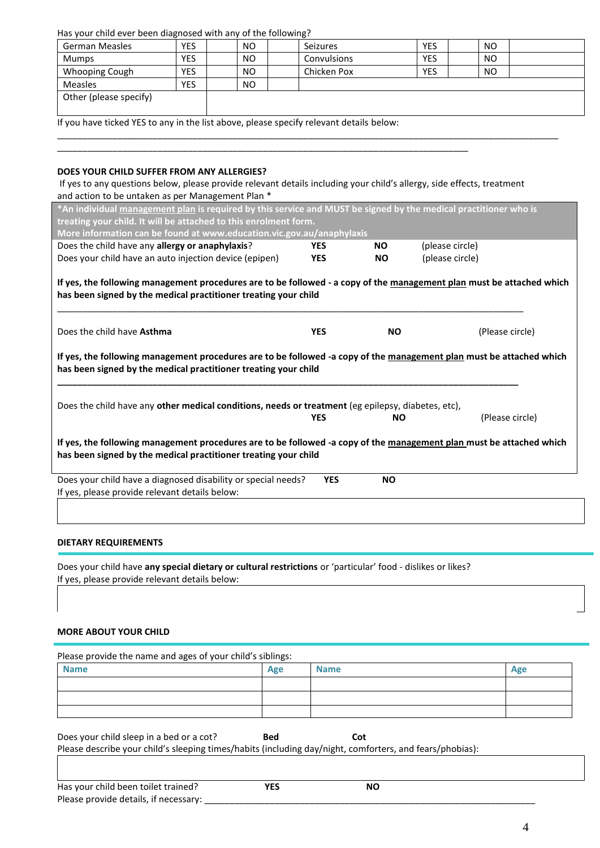Has your child ever been diagnosed with any of the following?

|                        |            |           | . .         |            |                |  |
|------------------------|------------|-----------|-------------|------------|----------------|--|
| German Measles         | <b>YES</b> | NO.       | Seizures    | <b>YES</b> | N <sub>O</sub> |  |
| Mumps                  | YES        | NO.       | Convulsions | <b>YES</b> | N <sub>O</sub> |  |
| <b>Whooping Cough</b>  | <b>YES</b> | NO.       | Chicken Pox | <b>YES</b> | N <sub>O</sub> |  |
| <b>Measles</b>         | <b>YES</b> | <b>NO</b> |             |            |                |  |
| Other (please specify) |            |           |             |            |                |  |
|                        |            |           |             |            |                |  |

\_\_\_\_\_\_\_\_\_\_\_\_\_\_\_\_\_\_\_\_\_\_\_\_\_\_\_\_\_\_\_\_\_\_\_\_\_\_\_\_\_\_\_\_\_\_\_\_\_\_\_\_\_\_\_\_\_\_\_\_\_\_\_\_\_\_\_\_\_\_\_\_\_\_\_\_\_\_\_\_\_\_\_\_\_\_\_\_\_\_\_\_\_\_\_\_\_\_\_\_

If you have ticked YES to any in the list above, please specify relevant details below:

## **DOES YOUR CHILD SUFFER FROM ANY ALLERGIES?**

If yes to any questions below, please provide relevant details including your child's allergy, side effects, treatment and action to be untaken as per Management Plan \*

\_\_\_\_\_\_\_\_\_\_\_\_\_\_\_\_\_\_\_\_\_\_\_\_\_\_\_\_\_\_\_\_\_\_\_\_\_\_\_\_\_\_\_\_\_\_\_\_\_\_\_\_\_\_\_\_\_\_\_\_\_\_\_\_\_\_\_\_\_\_\_\_\_\_\_\_\_\_\_\_\_\_

| *An individual management plan is required by this service and MUST be signed by the medical practitioner who is                                                                                                                                                                              |            |           |                 |
|-----------------------------------------------------------------------------------------------------------------------------------------------------------------------------------------------------------------------------------------------------------------------------------------------|------------|-----------|-----------------|
| treating your child. It will be attached to this enrolment form.                                                                                                                                                                                                                              |            |           |                 |
| More information can be found at www.education.vic.gov.au/anaphylaxis                                                                                                                                                                                                                         |            |           |                 |
| Does the child have any allergy or anaphylaxis?                                                                                                                                                                                                                                               | <b>YES</b> | <b>NO</b> | (please circle) |
| Does your child have an auto injection device (epipen)                                                                                                                                                                                                                                        | <b>YES</b> | <b>NO</b> | (please circle) |
| If yes, the following management procedures are to be followed - a copy of the management plan must be attached which<br>has been signed by the medical practitioner treating your child                                                                                                      |            |           |                 |
| Does the child have Asthma                                                                                                                                                                                                                                                                    | <b>YES</b> | <b>NO</b> | (Please circle) |
| If yes, the following management procedures are to be followed -a copy of the management plan must be attached which<br>has been signed by the medical practitioner treating your child<br>Does the child have any other medical conditions, needs or treatment (eg epilepsy, diabetes, etc), |            |           |                 |
|                                                                                                                                                                                                                                                                                               | <b>YES</b> | <b>NO</b> | (Please circle) |
| If yes, the following management procedures are to be followed -a copy of the management plan must be attached which<br>has been signed by the medical practitioner treating your child                                                                                                       |            |           |                 |
| Does your child have a diagnosed disability or special needs?<br>If yes, please provide relevant details below:                                                                                                                                                                               | <b>YES</b> | <b>NO</b> |                 |
|                                                                                                                                                                                                                                                                                               |            |           |                 |
| <b>DIETARY REQUIREMENTS</b>                                                                                                                                                                                                                                                                   |            |           |                 |

Does your child have **any special dietary or cultural restrictions** or 'particular' food - dislikes or likes? If yes, please provide relevant details below:

#### **MORE ABOUT YOUR CHILD**

| Please provide the name and ages of your child's siblings:                                               |            |             |     |
|----------------------------------------------------------------------------------------------------------|------------|-------------|-----|
| <b>Name</b>                                                                                              | Age        | <b>Name</b> | Age |
|                                                                                                          |            |             |     |
|                                                                                                          |            |             |     |
|                                                                                                          |            |             |     |
| Does your child sleep in a bed or a cot?                                                                 | <b>Bed</b> | Cot         |     |
| Please describe your child's sleeping times/habits (including day/night, comforters, and fears/phobias): |            |             |     |
|                                                                                                          |            |             |     |
| Has your child been toilet trained?                                                                      | <b>YES</b> | <b>NO</b>   |     |
| Please provide details, if necessary:                                                                    |            |             |     |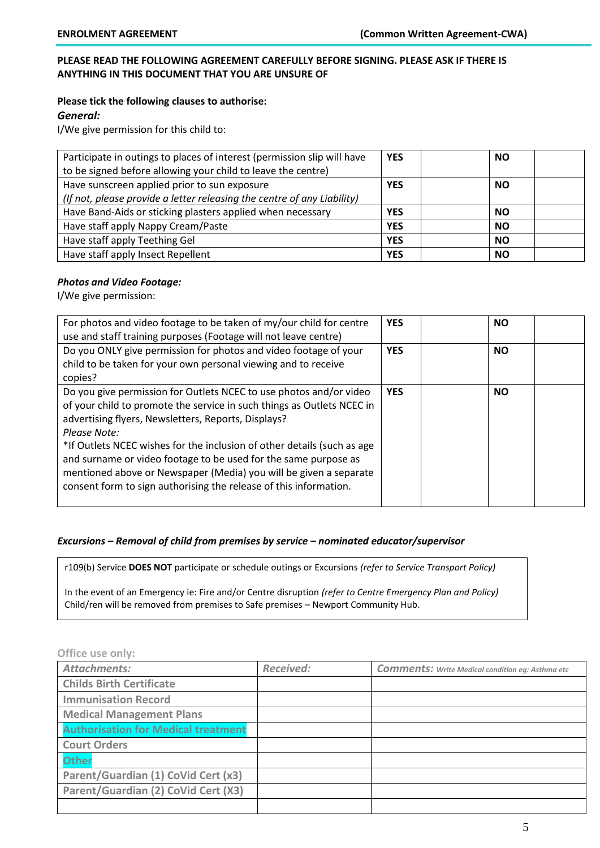## **PLEASE READ THE FOLLOWING AGREEMENT CAREFULLY BEFORE SIGNING. PLEASE ASK IF THERE IS ANYTHING IN THIS DOCUMENT THAT YOU ARE UNSURE OF**

# **Please tick the following clauses to authorise:**

*General:*

I/We give permission for this child to:

| Participate in outings to places of interest (permission slip will have | <b>YES</b> | <b>NO</b> |
|-------------------------------------------------------------------------|------------|-----------|
| to be signed before allowing your child to leave the centre)            |            |           |
| Have sunscreen applied prior to sun exposure                            | <b>YES</b> | <b>NO</b> |
| (If not, please provide a letter releasing the centre of any Liability) |            |           |
| Have Band-Aids or sticking plasters applied when necessary              | <b>YES</b> | <b>NO</b> |
| Have staff apply Nappy Cream/Paste                                      | <b>YES</b> | <b>NO</b> |
| Have staff apply Teething Gel                                           | <b>YES</b> | <b>NO</b> |
| Have staff apply Insect Repellent                                       | <b>YES</b> | <b>NO</b> |

## *Photos and Video Footage:*

I/We give permission:

| For photos and video footage to be taken of my/our child for centre<br>use and staff training purposes (Footage will not leave centre)                                                                                                                                                                                                                                                                                                                                                                      | <b>YES</b> | <b>NO</b> |
|-------------------------------------------------------------------------------------------------------------------------------------------------------------------------------------------------------------------------------------------------------------------------------------------------------------------------------------------------------------------------------------------------------------------------------------------------------------------------------------------------------------|------------|-----------|
| Do you ONLY give permission for photos and video footage of your<br>child to be taken for your own personal viewing and to receive<br>copies?                                                                                                                                                                                                                                                                                                                                                               | <b>YES</b> | <b>NO</b> |
| Do you give permission for Outlets NCEC to use photos and/or video<br>of your child to promote the service in such things as Outlets NCEC in<br>advertising flyers, Newsletters, Reports, Displays?<br>Please Note:<br>*If Outlets NCEC wishes for the inclusion of other details (such as age<br>and surname or video footage to be used for the same purpose as<br>mentioned above or Newspaper (Media) you will be given a separate<br>consent form to sign authorising the release of this information. | <b>YES</b> | <b>NO</b> |

### *Excursions – Removal of child from premises by service – nominated educator/supervisor*

r109(b) Service **DOES NOT** participate or schedule outings or Excursions *(refer to Service Transport Policy)*

In the event of an Emergency ie: Fire and/or Centre disruption *(refer to Centre Emergency Plan and Policy)* Child/ren will be removed from premises to Safe premises – Newport Community Hub.

## **Office use only:**

| <b>Attachments:</b>                        | <b>Received:</b> | <b>Comments:</b> Write Medical condition eg: Asthma etc |
|--------------------------------------------|------------------|---------------------------------------------------------|
| <b>Childs Birth Certificate</b>            |                  |                                                         |
| <b>Immunisation Record</b>                 |                  |                                                         |
| <b>Medical Management Plans</b>            |                  |                                                         |
| <b>Authorisation for Medical treatment</b> |                  |                                                         |
| <b>Court Orders</b>                        |                  |                                                         |
| <b>Other</b>                               |                  |                                                         |
| Parent/Guardian (1) CoVid Cert (x3)        |                  |                                                         |
| Parent/Guardian (2) CoVid Cert (X3)        |                  |                                                         |
|                                            |                  |                                                         |